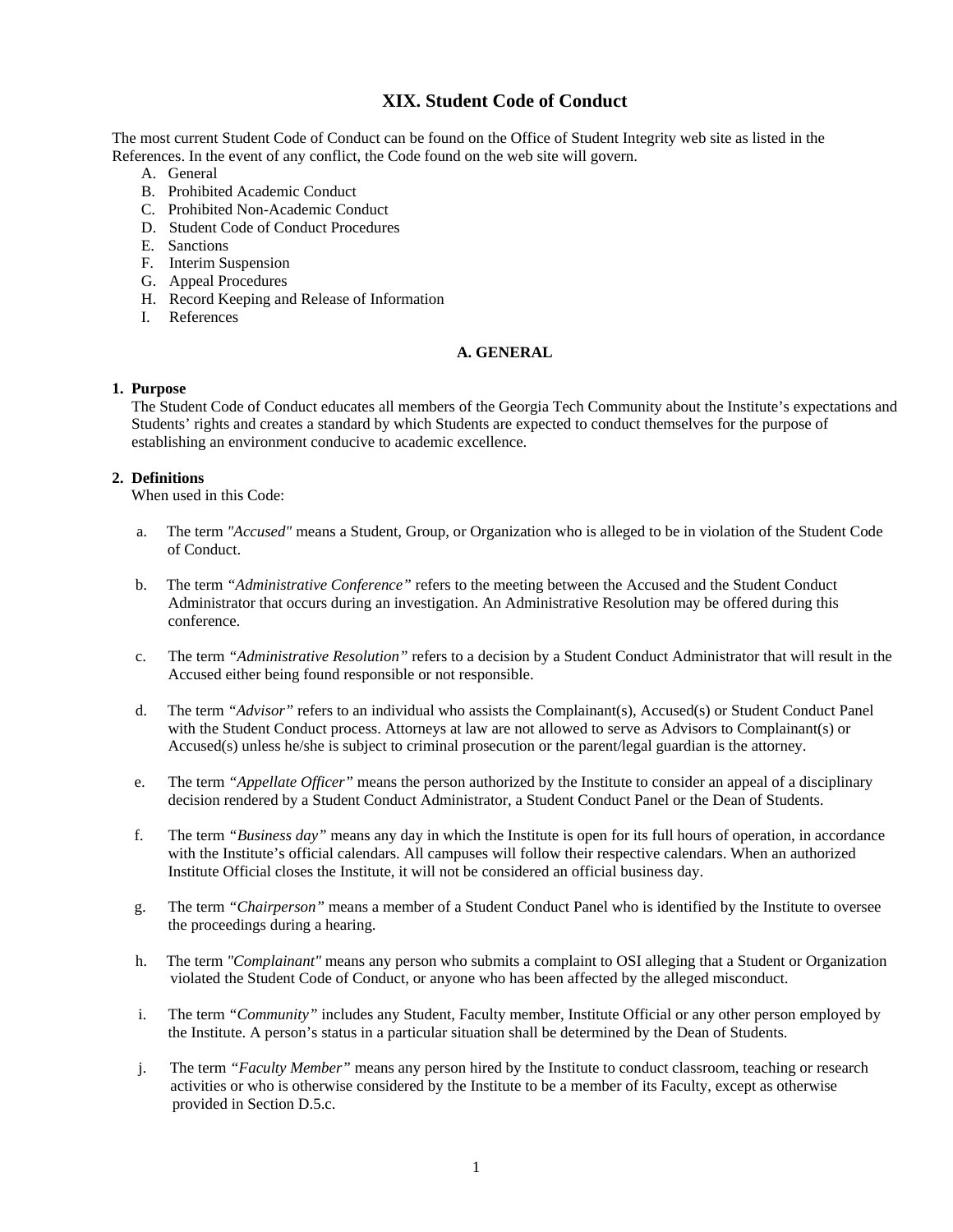# **XIX. Student Code of Conduct**

The most current Student Code of Conduct can be found on the Office of Student Integrity web site as listed in the References. In the event of any conflict, the Code found on the web site will govern.

- A. General
- B. Prohibited Academic Conduct
- C. Prohibited Non-Academic Conduct
- D. Student Code of Conduct Procedures
- E. Sanctions
- F. Interim Suspension
- G. Appeal Procedures
- H. Record Keeping and Release of Information
- I. References

## **A. GENERAL**

## **1. Purpose**

 The Student Code of Conduct educates all members of the Georgia Tech Community about the Institute's expectations and Students' rights and creates a standard by which Students are expected to conduct themselves for the purpose of establishing an environment conducive to academic excellence.

## **2. Definitions**

When used in this Code:

- a. The term *"Accused"* means a Student, Group, or Organization who is alleged to be in violation of the Student Code of Conduct.
- b. The term *"Administrative Conference"* refers to the meeting between the Accused and the Student Conduct Administrator that occurs during an investigation. An Administrative Resolution may be offered during this conference.
- c. The term *"Administrative Resolution"* refers to a decision by a Student Conduct Administrator that will result in the Accused either being found responsible or not responsible.
- d. The term *"Advisor"* refers to an individual who assists the Complainant(s), Accused(s) or Student Conduct Panel with the Student Conduct process. Attorneys at law are not allowed to serve as Advisors to Complainant(s) or Accused(s) unless he/she is subject to criminal prosecution or the parent/legal guardian is the attorney.
- e. The term *"Appellate Officer"* means the person authorized by the Institute to consider an appeal of a disciplinary decision rendered by a Student Conduct Administrator, a Student Conduct Panel or the Dean of Students.
- f. The term *"Business day"* means any day in which the Institute is open for its full hours of operation, in accordance with the Institute's official calendars. All campuses will follow their respective calendars. When an authorized Institute Official closes the Institute, it will not be considered an official business day.
- g. The term *"Chairperson"* means a member of a Student Conduct Panel who is identified by the Institute to oversee the proceedings during a hearing.
- h. The term *"Complainant"* means any person who submits a complaint to OSI alleging that a Student or Organization violated the Student Code of Conduct, or anyone who has been affected by the alleged misconduct.
- i. The term *"Community"* includes any Student, Faculty member, Institute Official or any other person employed by the Institute. A person's status in a particular situation shall be determined by the Dean of Students.
- j. The term *"Faculty Member"* means any person hired by the Institute to conduct classroom, teaching or research activities or who is otherwise considered by the Institute to be a member of its Faculty, except as otherwise provided in Section D.5.c.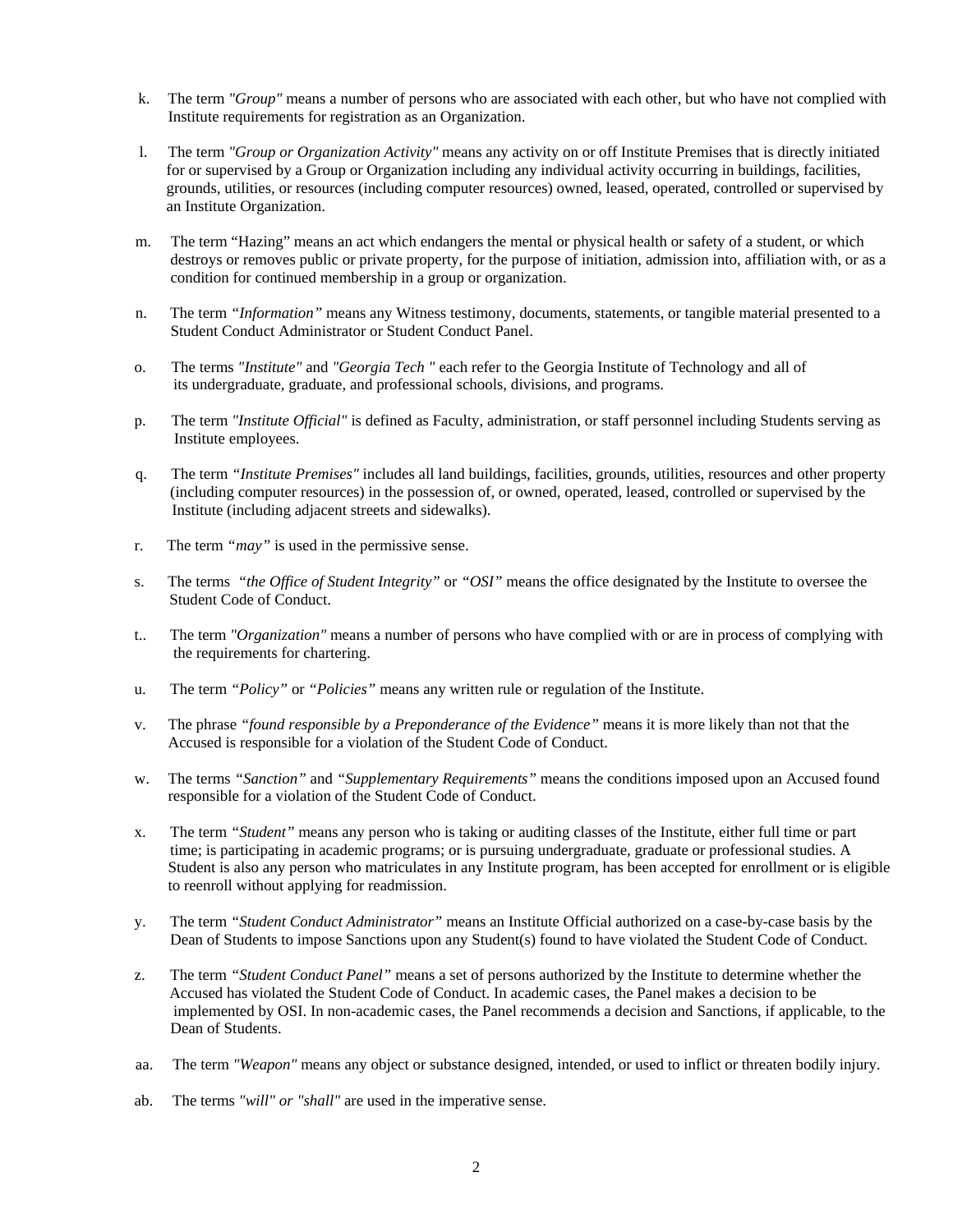- k. The term *"Group"* means a number of persons who are associated with each other, but who have not complied with Institute requirements for registration as an Organization.
- l. The term *"Group or Organization Activity"* means any activity on or off Institute Premises that is directly initiated for or supervised by a Group or Organization including any individual activity occurring in buildings, facilities, grounds, utilities, or resources (including computer resources) owned, leased, operated, controlled or supervised by an Institute Organization.
- m. The term "Hazing" means an act which endangers the mental or physical health or safety of a student, or which destroys or removes public or private property, for the purpose of initiation, admission into, affiliation with, or as a condition for continued membership in a group or organization.
- n. The term *"Information"* means any Witness testimony, documents, statements, or tangible material presented to a Student Conduct Administrator or Student Conduct Panel.
- o. The terms *"Institute"* and *"Georgia Tech "* each refer to the Georgia Institute of Technology and all of its undergraduate, graduate, and professional schools, divisions, and programs.
- p. The term *"Institute Official"* is defined as Faculty, administration, or staff personnel including Students serving as Institute employees.
- q. The term *"Institute Premises"* includes all land buildings, facilities, grounds, utilities, resources and other property (including computer resources) in the possession of, or owned, operated, leased, controlled or supervised by the Institute (including adjacent streets and sidewalks).
- r. The term *"may"* is used in the permissive sense.
- s. The terms *"the Office of Student Integrity"* or *"OSI"* means the office designated by the Institute to oversee the Student Code of Conduct.
- t.. The term *"Organization"* means a number of persons who have complied with or are in process of complying with the requirements for chartering.
- u. The term *"Policy"* or *"Policies"* means any written rule or regulation of the Institute.
- v. The phrase *"found responsible by a Preponderance of the Evidence"* means it is more likely than not that the Accused is responsible for a violation of the Student Code of Conduct.
- w. The terms *"Sanction"* and *"Supplementary Requirements"* means the conditions imposed upon an Accused found responsible for a violation of the Student Code of Conduct.
- x. The term *"Student"* means any person who is taking or auditing classes of the Institute, either full time or part time; is participating in academic programs; or is pursuing undergraduate, graduate or professional studies. A Student is also any person who matriculates in any Institute program, has been accepted for enrollment or is eligible to reenroll without applying for readmission.
- y. The term *"Student Conduct Administrator"* means an Institute Official authorized on a case-by-case basis by the Dean of Students to impose Sanctions upon any Student(s) found to have violated the Student Code of Conduct.
- z. The term *"Student Conduct Panel"* means a set of persons authorized by the Institute to determine whether the Accused has violated the Student Code of Conduct. In academic cases, the Panel makes a decision to be implemented by OSI. In non-academic cases, the Panel recommends a decision and Sanctions, if applicable, to the Dean of Students.
- aa. The term *"Weapon"* means any object or substance designed, intended, or used to inflict or threaten bodily injury.
- ab. The terms *"will" or "shall"* are used in the imperative sense.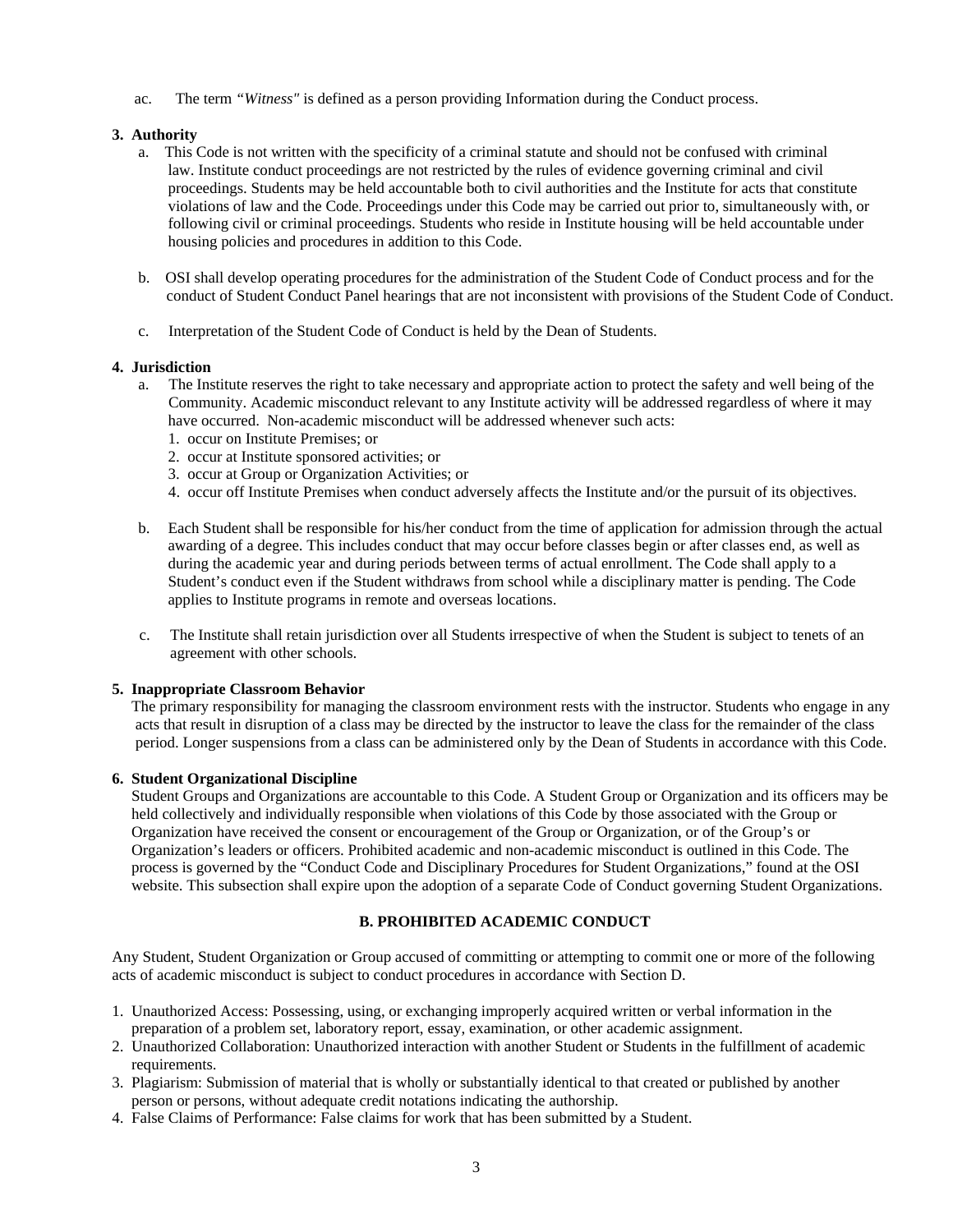ac. The term *"Witness"* is defined as a person providing Information during the Conduct process.

## **3. Authority**

- a. This Code is not written with the specificity of a criminal statute and should not be confused with criminal law. Institute conduct proceedings are not restricted by the rules of evidence governing criminal and civil proceedings. Students may be held accountable both to civil authorities and the Institute for acts that constitute violations of law and the Code. Proceedings under this Code may be carried out prior to, simultaneously with, or following civil or criminal proceedings. Students who reside in Institute housing will be held accountable under housing policies and procedures in addition to this Code.
- b. OSI shall develop operating procedures for the administration of the Student Code of Conduct process and for the conduct of Student Conduct Panel hearings that are not inconsistent with provisions of the Student Code of Conduct.
- c. Interpretation of the Student Code of Conduct is held by the Dean of Students.

## **4. Jurisdiction**

- a. The Institute reserves the right to take necessary and appropriate action to protect the safety and well being of the Community. Academic misconduct relevant to any Institute activity will be addressed regardless of where it may have occurred. Non-academic misconduct will be addressed whenever such acts:
	- 1. occur on Institute Premises; or
	- 2. occur at Institute sponsored activities; or
	- 3. occur at Group or Organization Activities; or
	- 4. occur off Institute Premises when conduct adversely affects the Institute and/or the pursuit of its objectives.
- b. Each Student shall be responsible for his/her conduct from the time of application for admission through the actual awarding of a degree. This includes conduct that may occur before classes begin or after classes end, as well as during the academic year and during periods between terms of actual enrollment. The Code shall apply to a Student's conduct even if the Student withdraws from school while a disciplinary matter is pending. The Code applies to Institute programs in remote and overseas locations.
- c. The Institute shall retain jurisdiction over all Students irrespective of when the Student is subject to tenets of an agreement with other schools.

#### **5. Inappropriate Classroom Behavior**

 The primary responsibility for managing the classroom environment rests with the instructor. Students who engage in any acts that result in disruption of a class may be directed by the instructor to leave the class for the remainder of the class period. Longer suspensions from a class can be administered only by the Dean of Students in accordance with this Code.

#### **6. Student Organizational Discipline**

Student Groups and Organizations are accountable to this Code. A Student Group or Organization and its officers may be held collectively and individually responsible when violations of this Code by those associated with the Group or Organization have received the consent or encouragement of the Group or Organization, or of the Group's or Organization's leaders or officers. Prohibited academic and non-academic misconduct is outlined in this Code. The process is governed by the "Conduct Code and Disciplinary Procedures for Student Organizations," found at the OSI website. This subsection shall expire upon the adoption of a separate Code of Conduct governing Student Organizations.

# **B. PROHIBITED ACADEMIC CONDUCT**

Any Student, Student Organization or Group accused of committing or attempting to commit one or more of the following acts of academic misconduct is subject to conduct procedures in accordance with Section D.

- 1. Unauthorized Access: Possessing, using, or exchanging improperly acquired written or verbal information in the preparation of a problem set, laboratory report, essay, examination, or other academic assignment.
- 2. Unauthorized Collaboration: Unauthorized interaction with another Student or Students in the fulfillment of academic requirements.
- 3. Plagiarism: Submission of material that is wholly or substantially identical to that created or published by another person or persons, without adequate credit notations indicating the authorship.
- 4. False Claims of Performance: False claims for work that has been submitted by a Student.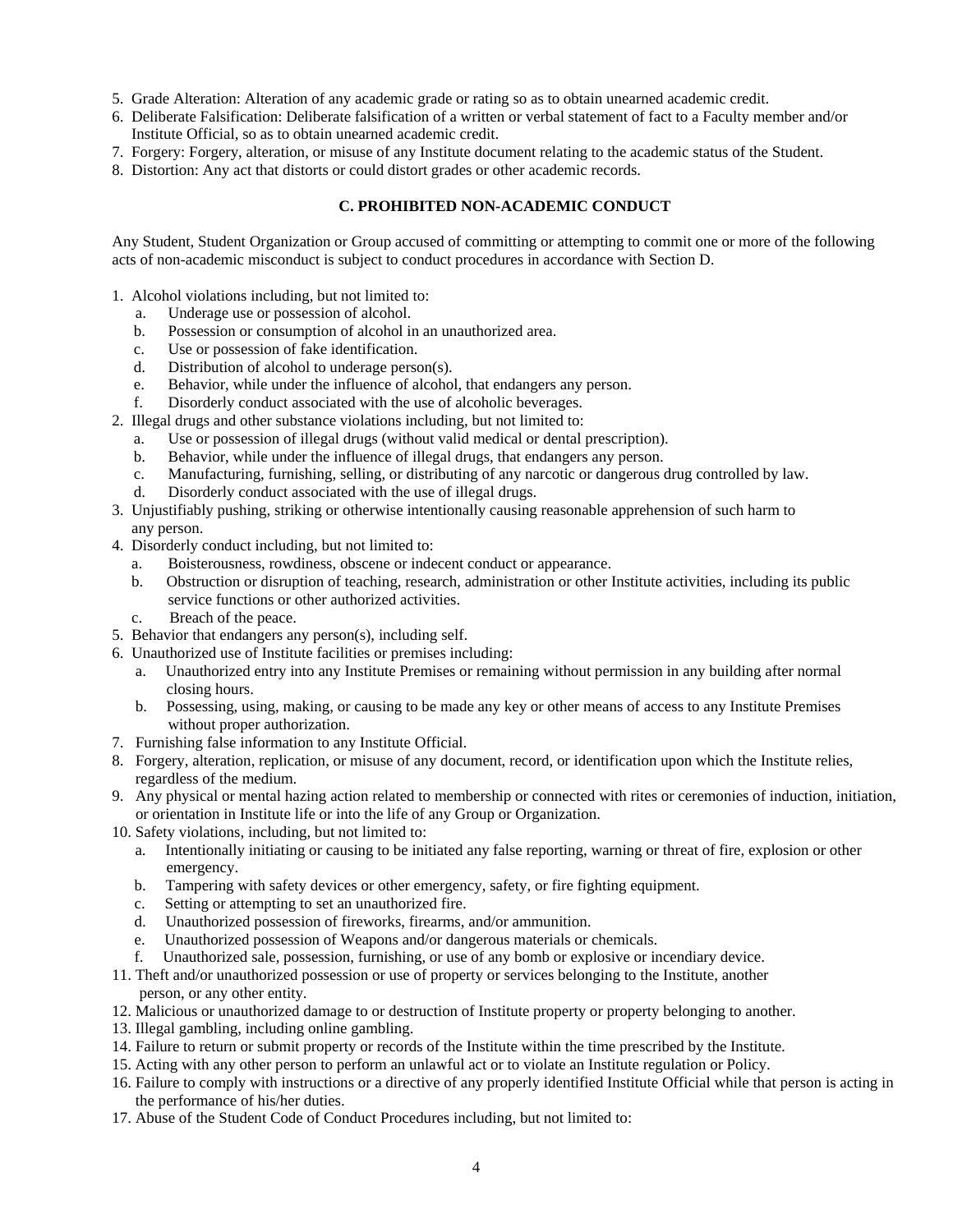- 5. Grade Alteration: Alteration of any academic grade or rating so as to obtain unearned academic credit.
- 6. Deliberate Falsification: Deliberate falsification of a written or verbal statement of fact to a Faculty member and/or Institute Official, so as to obtain unearned academic credit.
- 7. Forgery: Forgery, alteration, or misuse of any Institute document relating to the academic status of the Student.
- 8. Distortion: Any act that distorts or could distort grades or other academic records.

# **C. PROHIBITED NON-ACADEMIC CONDUCT**

Any Student, Student Organization or Group accused of committing or attempting to commit one or more of the following acts of non-academic misconduct is subject to conduct procedures in accordance with Section D.

- 1. Alcohol violations including, but not limited to:
	- a. Underage use or possession of alcohol.
	- b. Possession or consumption of alcohol in an unauthorized area.
	- c. Use or possession of fake identification.
	- d. Distribution of alcohol to underage person(s).
	- e. Behavior, while under the influence of alcohol, that endangers any person.
	- f. Disorderly conduct associated with the use of alcoholic beverages.
- 2. Illegal drugs and other substance violations including, but not limited to:
	- a. Use or possession of illegal drugs (without valid medical or dental prescription).
	- b. Behavior, while under the influence of illegal drugs, that endangers any person.
	- c. Manufacturing, furnishing, selling, or distributing of any narcotic or dangerous drug controlled by law.
	- d. Disorderly conduct associated with the use of illegal drugs.
- 3. Unjustifiably pushing, striking or otherwise intentionally causing reasonable apprehension of such harm to any person.
- 4. Disorderly conduct including, but not limited to:
	- a. Boisterousness, rowdiness, obscene or indecent conduct or appearance.
	- b. Obstruction or disruption of teaching, research, administration or other Institute activities, including its public service functions or other authorized activities.
	- c. Breach of the peace.
- 5. Behavior that endangers any person(s), including self.
- 6. Unauthorized use of Institute facilities or premises including:
	- a. Unauthorized entry into any Institute Premises or remaining without permission in any building after normal closing hours.
	- b. Possessing, using, making, or causing to be made any key or other means of access to any Institute Premises without proper authorization.
- 7. Furnishing false information to any Institute Official.
- 8. Forgery, alteration, replication, or misuse of any document, record, or identification upon which the Institute relies, regardless of the medium.
- 9. Any physical or mental hazing action related to membership or connected with rites or ceremonies of induction, initiation, or orientation in Institute life or into the life of any Group or Organization.
- 10. Safety violations, including, but not limited to:
	- a. Intentionally initiating or causing to be initiated any false reporting, warning or threat of fire, explosion or other emergency.
	- b. Tampering with safety devices or other emergency, safety, or fire fighting equipment.
	- c. Setting or attempting to set an unauthorized fire.
	- d. Unauthorized possession of fireworks, firearms, and/or ammunition.
	- e. Unauthorized possession of Weapons and/or dangerous materials or chemicals.
	- f. Unauthorized sale, possession, furnishing, or use of any bomb or explosive or incendiary device.
- 11. Theft and/or unauthorized possession or use of property or services belonging to the Institute, another person, or any other entity.
- 12. Malicious or unauthorized damage to or destruction of Institute property or property belonging to another.
- 13. Illegal gambling, including online gambling.
- 14. Failure to return or submit property or records of the Institute within the time prescribed by the Institute.
- 15. Acting with any other person to perform an unlawful act or to violate an Institute regulation or Policy.
- 16. Failure to comply with instructions or a directive of any properly identified Institute Official while that person is acting in the performance of his/her duties.
- 17. Abuse of the Student Code of Conduct Procedures including, but not limited to: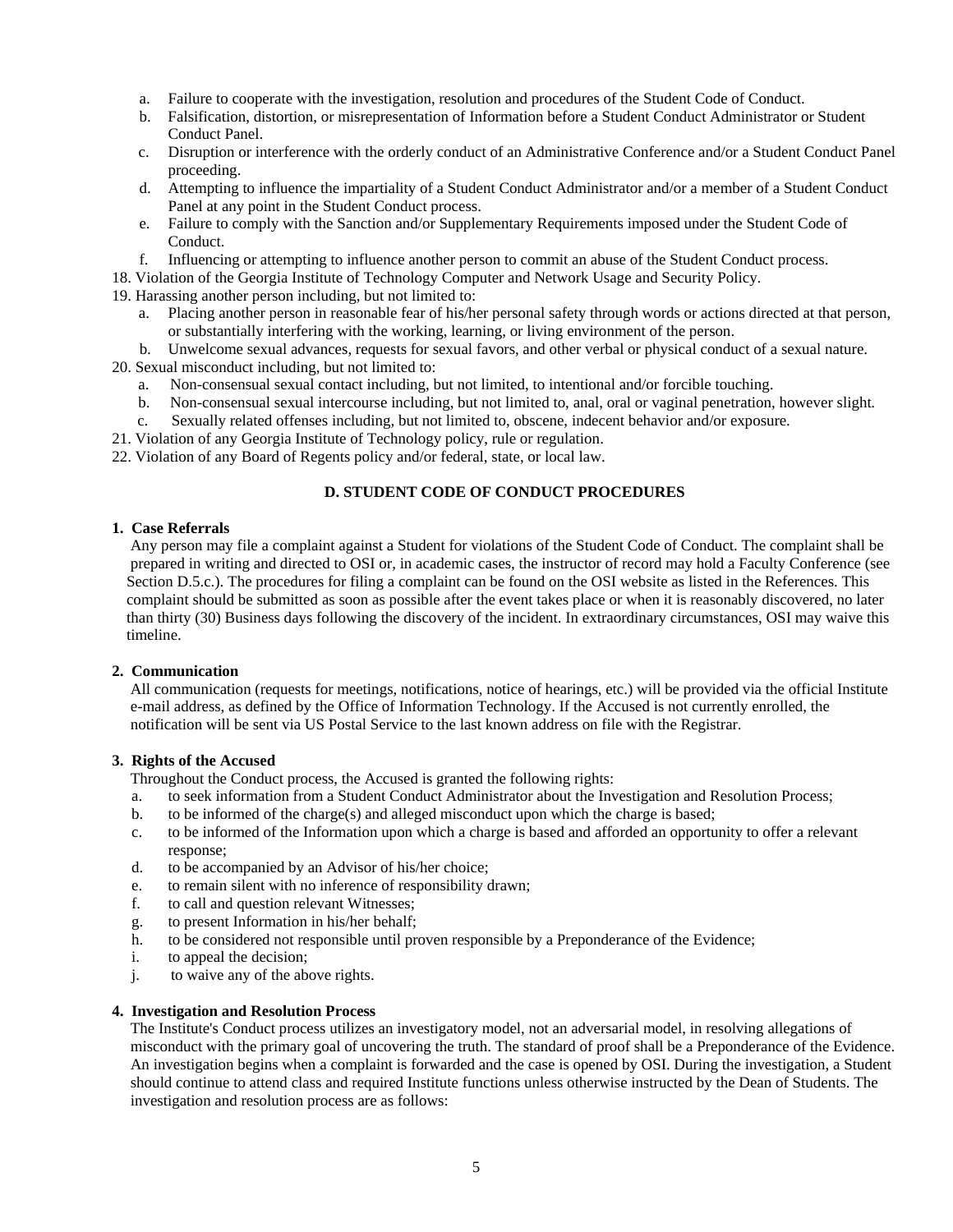- a. Failure to cooperate with the investigation, resolution and procedures of the Student Code of Conduct.
- b. Falsification, distortion, or misrepresentation of Information before a Student Conduct Administrator or Student Conduct Panel.
- c. Disruption or interference with the orderly conduct of an Administrative Conference and/or a Student Conduct Panel proceeding.
- d. Attempting to influence the impartiality of a Student Conduct Administrator and/or a member of a Student Conduct Panel at any point in the Student Conduct process.
- e. Failure to comply with the Sanction and/or Supplementary Requirements imposed under the Student Code of Conduct.
- f. Influencing or attempting to influence another person to commit an abuse of the Student Conduct process.
- 18. Violation of the Georgia Institute of Technology Computer and Network Usage and Security Policy.

19. Harassing another person including, but not limited to:

- a. Placing another person in reasonable fear of his/her personal safety through words or actions directed at that person, or substantially interfering with the working, learning, or living environment of the person.
- b. Unwelcome sexual advances, requests for sexual favors, and other verbal or physical conduct of a sexual nature. 20. Sexual misconduct including, but not limited to:
	- a. Non-consensual sexual contact including, but not limited, to intentional and/or forcible touching.
	- b. Non-consensual sexual intercourse including, but not limited to, anal, oral or vaginal penetration, however slight.
	- c. Sexually related offenses including, but not limited to, obscene, indecent behavior and/or exposure.
- 21. Violation of any Georgia Institute of Technology policy, rule or regulation.
- 22. Violation of any Board of Regents policy and/or federal, state, or local law.

# **D. STUDENT CODE OF CONDUCT PROCEDURES**

#### **1. Case Referrals**

 Any person may file a complaint against a Student for violations of the Student Code of Conduct. The complaint shall be prepared in writing and directed to OSI or, in academic cases, the instructor of record may hold a Faculty Conference (see Section D.5.c.). The procedures for filing a complaint can be found on the OSI website as listed in the References. This complaint should be submitted as soon as possible after the event takes place or when it is reasonably discovered, no later than thirty (30) Business days following the discovery of the incident. In extraordinary circumstances, OSI may waive this timeline.

# **2. Communication**

 All communication (requests for meetings, notifications, notice of hearings, etc.) will be provided via the official Institute e-mail address, as defined by the Office of Information Technology. If the Accused is not currently enrolled, the notification will be sent via US Postal Service to the last known address on file with the Registrar.

#### **3. Rights of the Accused**

Throughout the Conduct process, the Accused is granted the following rights:

- a. to seek information from a Student Conduct Administrator about the Investigation and Resolution Process;
- b. to be informed of the charge(s) and alleged misconduct upon which the charge is based;
- c. to be informed of the Information upon which a charge is based and afforded an opportunity to offer a relevant response;
- d. to be accompanied by an Advisor of his/her choice;
- e. to remain silent with no inference of responsibility drawn;
- f. to call and question relevant Witnesses;
- g. to present Information in his/her behalf;
- h. to be considered not responsible until proven responsible by a Preponderance of the Evidence;
- i. to appeal the decision;
- j. to waive any of the above rights.

## **4. Investigation and Resolution Process**

 The Institute's Conduct process utilizes an investigatory model, not an adversarial model, in resolving allegations of misconduct with the primary goal of uncovering the truth. The standard of proof shall be a Preponderance of the Evidence. An investigation begins when a complaint is forwarded and the case is opened by OSI. During the investigation, a Student should continue to attend class and required Institute functions unless otherwise instructed by the Dean of Students. The investigation and resolution process are as follows: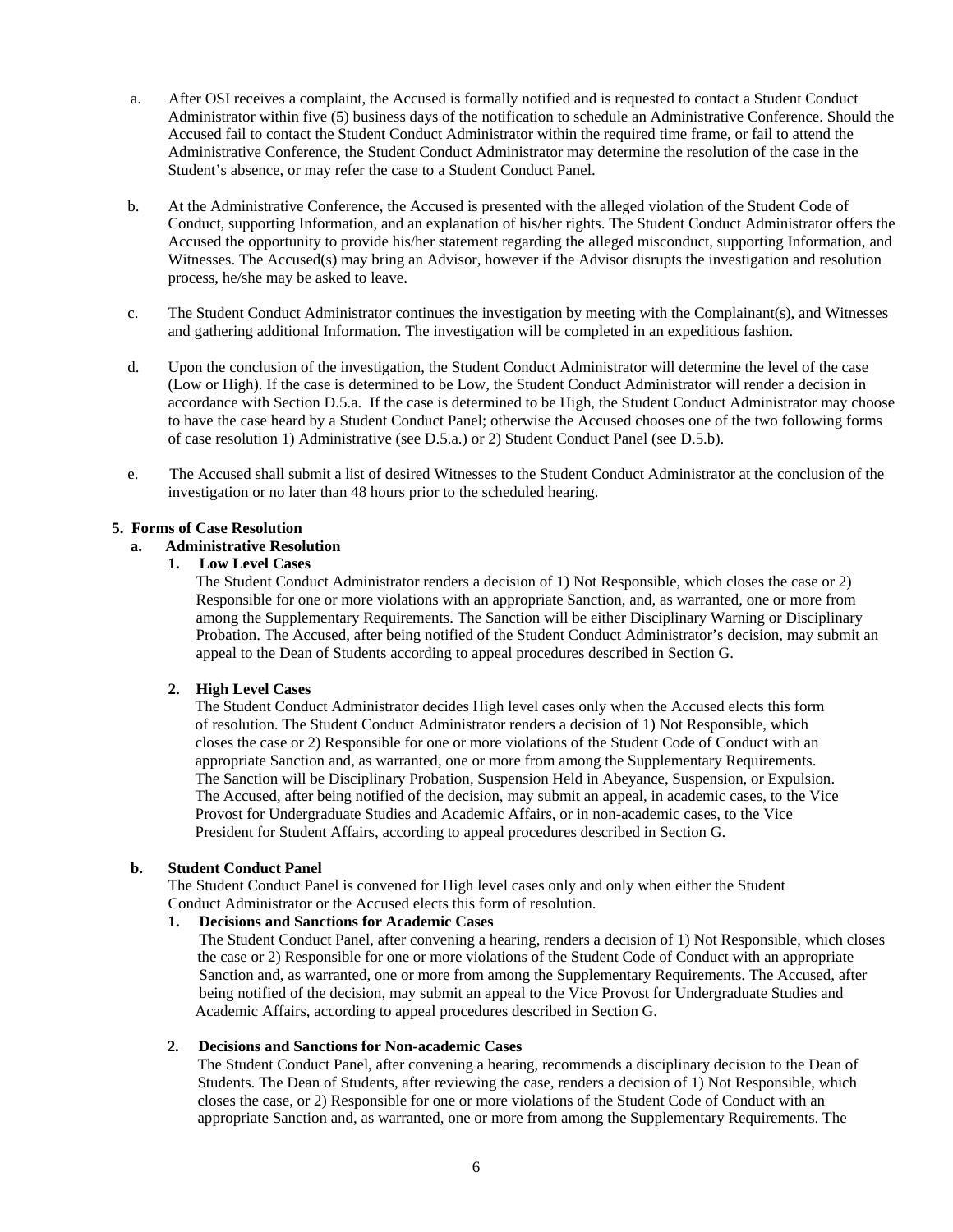- a. After OSI receives a complaint, the Accused is formally notified and is requested to contact a Student Conduct Administrator within five (5) business days of the notification to schedule an Administrative Conference. Should the Accused fail to contact the Student Conduct Administrator within the required time frame, or fail to attend the Administrative Conference, the Student Conduct Administrator may determine the resolution of the case in the Student's absence, or may refer the case to a Student Conduct Panel.
- b. At the Administrative Conference, the Accused is presented with the alleged violation of the Student Code of Conduct, supporting Information, and an explanation of his/her rights. The Student Conduct Administrator offers the Accused the opportunity to provide his/her statement regarding the alleged misconduct, supporting Information, and Witnesses. The Accused(s) may bring an Advisor, however if the Advisor disrupts the investigation and resolution process, he/she may be asked to leave.
- c. The Student Conduct Administrator continues the investigation by meeting with the Complainant(s), and Witnesses and gathering additional Information. The investigation will be completed in an expeditious fashion.
- d. Upon the conclusion of the investigation, the Student Conduct Administrator will determine the level of the case (Low or High). If the case is determined to be Low, the Student Conduct Administrator will render a decision in accordance with Section D.5.a. If the case is determined to be High, the Student Conduct Administrator may choose to have the case heard by a Student Conduct Panel; otherwise the Accused chooses one of the two following forms of case resolution 1) Administrative (see D.5.a.) or 2) Student Conduct Panel (see D.5.b).
- e. The Accused shall submit a list of desired Witnesses to the Student Conduct Administrator at the conclusion of the investigation or no later than 48 hours prior to the scheduled hearing.

## **5. Forms of Case Resolution**

## **a. Administrative Resolution**

## **1. Low Level Cases**

The Student Conduct Administrator renders a decision of 1) Not Responsible, which closes the case or 2) Responsible for one or more violations with an appropriate Sanction, and, as warranted, one or more from among the Supplementary Requirements. The Sanction will be either Disciplinary Warning or Disciplinary Probation. The Accused, after being notified of the Student Conduct Administrator's decision, may submit an appeal to the Dean of Students according to appeal procedures described in Section G.

# **2. High Level Cases**

 The Student Conduct Administrator decides High level cases only when the Accused elects this form of resolution. The Student Conduct Administrator renders a decision of 1) Not Responsible, which closes the case or 2) Responsible for one or more violations of the Student Code of Conduct with an appropriate Sanction and, as warranted, one or more from among the Supplementary Requirements. The Sanction will be Disciplinary Probation, Suspension Held in Abeyance, Suspension, or Expulsion. The Accused, after being notified of the decision, may submit an appeal, in academic cases, to the Vice Provost for Undergraduate Studies and Academic Affairs, or in non-academic cases, to the Vice President for Student Affairs, according to appeal procedures described in Section G.

#### **b. Student Conduct Panel**

The Student Conduct Panel is convened for High level cases only and only when either the Student Conduct Administrator or the Accused elects this form of resolution.

#### **1. Decisions and Sanctions for Academic Cases**

 The Student Conduct Panel, after convening a hearing, renders a decision of 1) Not Responsible, which closes the case or 2) Responsible for one or more violations of the Student Code of Conduct with an appropriate Sanction and, as warranted, one or more from among the Supplementary Requirements. The Accused, after being notified of the decision, may submit an appeal to the Vice Provost for Undergraduate Studies and Academic Affairs, according to appeal procedures described in Section G.

#### **2. Decisions and Sanctions for Non-academic Cases**

 The Student Conduct Panel, after convening a hearing, recommends a disciplinary decision to the Dean of Students. The Dean of Students, after reviewing the case, renders a decision of 1) Not Responsible, which closes the case, or 2) Responsible for one or more violations of the Student Code of Conduct with an appropriate Sanction and, as warranted, one or more from among the Supplementary Requirements. The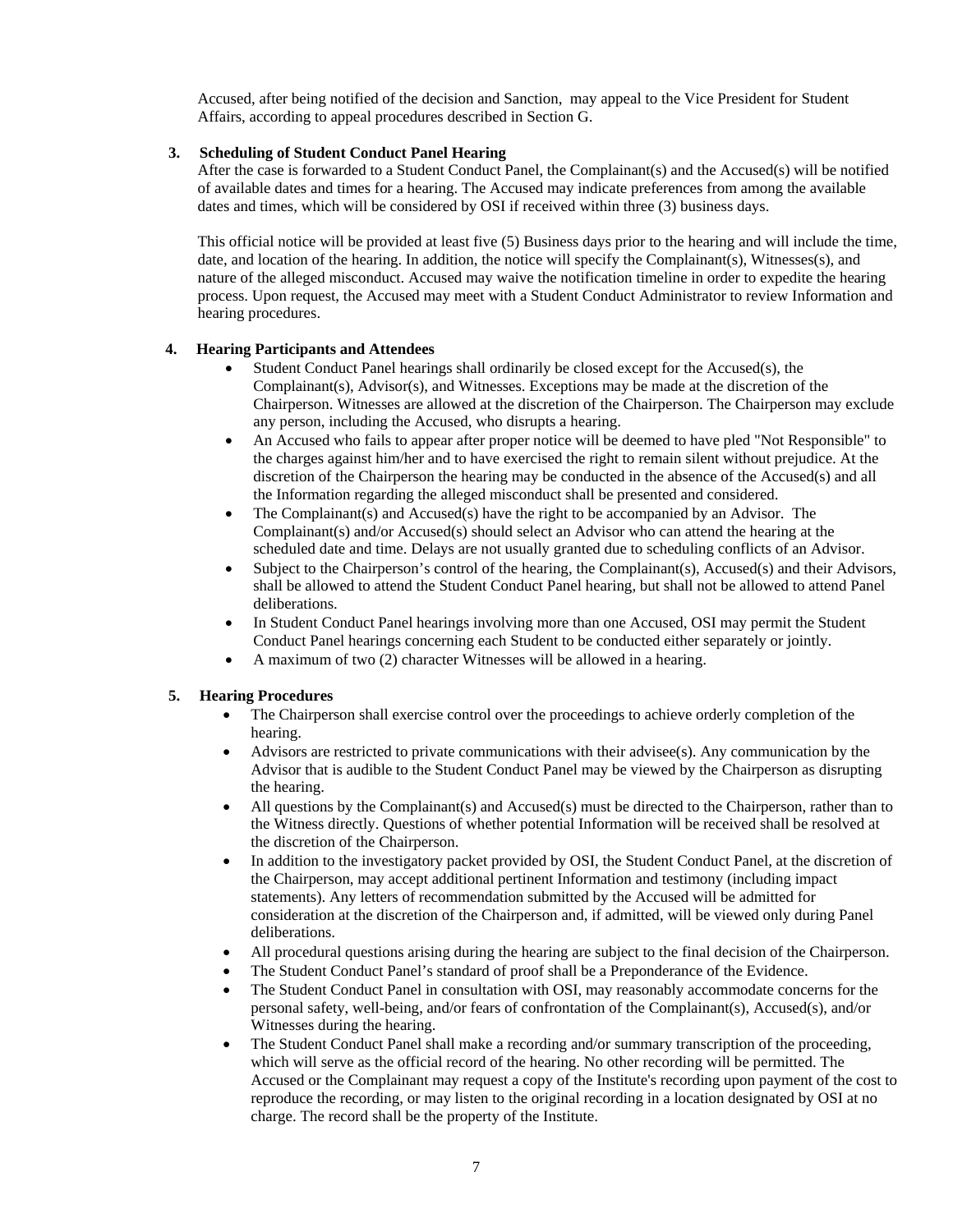Accused, after being notified of the decision and Sanction, may appeal to the Vice President for Student Affairs, according to appeal procedures described in Section G.

## **3. Scheduling of Student Conduct Panel Hearing**

 After the case is forwarded to a Student Conduct Panel, the Complainant(s) and the Accused(s) will be notified of available dates and times for a hearing. The Accused may indicate preferences from among the available dates and times, which will be considered by OSI if received within three (3) business days.

 This official notice will be provided at least five (5) Business days prior to the hearing and will include the time, date, and location of the hearing. In addition, the notice will specify the Complainant(s), Witnesses(s), and nature of the alleged misconduct. Accused may waive the notification timeline in order to expedite the hearing process. Upon request, the Accused may meet with a Student Conduct Administrator to review Information and hearing procedures.

## **4. Hearing Participants and Attendees**

- Student Conduct Panel hearings shall ordinarily be closed except for the Accused(s), the Complainant(s), Advisor(s), and Witnesses. Exceptions may be made at the discretion of the Chairperson. Witnesses are allowed at the discretion of the Chairperson. The Chairperson may exclude any person, including the Accused, who disrupts a hearing.
- An Accused who fails to appear after proper notice will be deemed to have pled "Not Responsible" to the charges against him/her and to have exercised the right to remain silent without prejudice. At the discretion of the Chairperson the hearing may be conducted in the absence of the Accused(s) and all the Information regarding the alleged misconduct shall be presented and considered.
- The Complainant(s) and Accused(s) have the right to be accompanied by an Advisor. The Complainant(s) and/or Accused(s) should select an Advisor who can attend the hearing at the scheduled date and time. Delays are not usually granted due to scheduling conflicts of an Advisor.
- Subject to the Chairperson's control of the hearing, the Complainant(s), Accused(s) and their Advisors, shall be allowed to attend the Student Conduct Panel hearing, but shall not be allowed to attend Panel deliberations.
- In Student Conduct Panel hearings involving more than one Accused, OSI may permit the Student Conduct Panel hearings concerning each Student to be conducted either separately or jointly.
- A maximum of two (2) character Witnesses will be allowed in a hearing.

#### **5. Hearing Procedures**

- The Chairperson shall exercise control over the proceedings to achieve orderly completion of the hearing.
- Advisors are restricted to private communications with their advisee(s). Any communication by the Advisor that is audible to the Student Conduct Panel may be viewed by the Chairperson as disrupting the hearing.
- All questions by the Complainant(s) and Accused(s) must be directed to the Chairperson, rather than to the Witness directly. Questions of whether potential Information will be received shall be resolved at the discretion of the Chairperson.
- In addition to the investigatory packet provided by OSI, the Student Conduct Panel, at the discretion of the Chairperson, may accept additional pertinent Information and testimony (including impact statements). Any letters of recommendation submitted by the Accused will be admitted for consideration at the discretion of the Chairperson and, if admitted, will be viewed only during Panel deliberations.
- All procedural questions arising during the hearing are subject to the final decision of the Chairperson.
- The Student Conduct Panel's standard of proof shall be a Preponderance of the Evidence.
- The Student Conduct Panel in consultation with OSI, may reasonably accommodate concerns for the personal safety, well-being, and/or fears of confrontation of the Complainant(s), Accused(s), and/or Witnesses during the hearing.
- The Student Conduct Panel shall make a recording and/or summary transcription of the proceeding, which will serve as the official record of the hearing. No other recording will be permitted. The Accused or the Complainant may request a copy of the Institute's recording upon payment of the cost to reproduce the recording, or may listen to the original recording in a location designated by OSI at no charge. The record shall be the property of the Institute.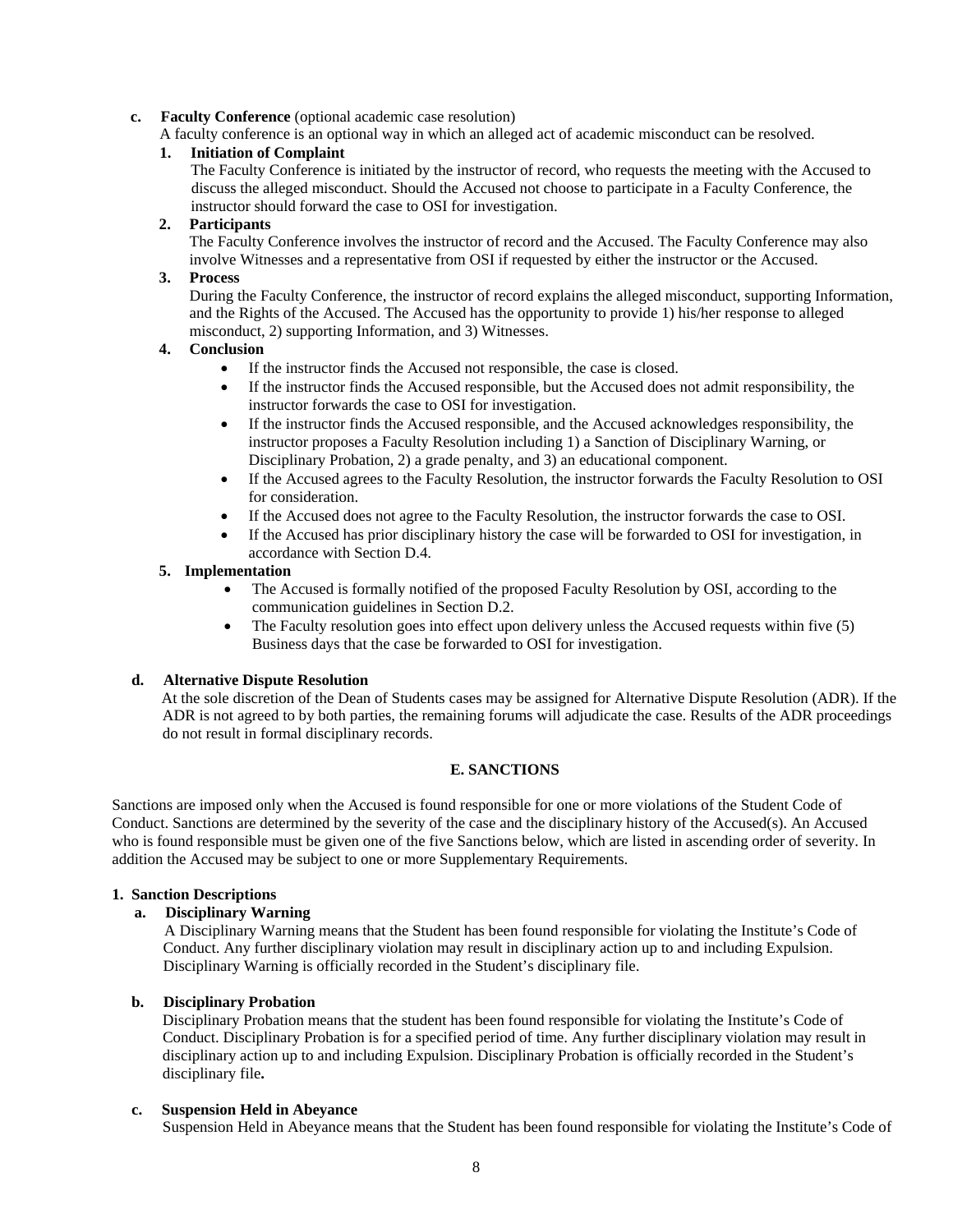## **c. Faculty Conference** (optional academic case resolution)

A faculty conference is an optional way in which an alleged act of academic misconduct can be resolved.

## **1. Initiation of Complaint**

 The Faculty Conference is initiated by the instructor of record, who requests the meeting with the Accused to discuss the alleged misconduct. Should the Accused not choose to participate in a Faculty Conference, the instructor should forward the case to OSI for investigation.

## **2. Participants**

The Faculty Conference involves the instructor of record and the Accused. The Faculty Conference may also involve Witnesses and a representative from OSI if requested by either the instructor or the Accused.

## **3. Process**

During the Faculty Conference, the instructor of record explains the alleged misconduct, supporting Information, and the Rights of the Accused. The Accused has the opportunity to provide 1) his/her response to alleged misconduct, 2) supporting Information, and 3) Witnesses.

## **4. Conclusion**

- If the instructor finds the Accused not responsible, the case is closed.
- If the instructor finds the Accused responsible, but the Accused does not admit responsibility, the instructor forwards the case to OSI for investigation.
- If the instructor finds the Accused responsible, and the Accused acknowledges responsibility, the instructor proposes a Faculty Resolution including 1) a Sanction of Disciplinary Warning, or Disciplinary Probation, 2) a grade penalty, and 3) an educational component.
- If the Accused agrees to the Faculty Resolution, the instructor forwards the Faculty Resolution to OSI for consideration.
- If the Accused does not agree to the Faculty Resolution, the instructor forwards the case to OSI.
- If the Accused has prior disciplinary history the case will be forwarded to OSI for investigation, in accordance with Section D.4.

# **5. Implementation**

- The Accused is formally notified of the proposed Faculty Resolution by OSI, according to the communication guidelines in Section D.2.
- The Faculty resolution goes into effect upon delivery unless the Accused requests within five (5) Business days that the case be forwarded to OSI for investigation.

# **d. Alternative Dispute Resolution**

 At the sole discretion of the Dean of Students cases may be assigned for Alternative Dispute Resolution (ADR). If the ADR is not agreed to by both parties, the remaining forums will adjudicate the case. Results of the ADR proceedings do not result in formal disciplinary records.

# **E. SANCTIONS**

Sanctions are imposed only when the Accused is found responsible for one or more violations of the Student Code of Conduct. Sanctions are determined by the severity of the case and the disciplinary history of the Accused(s). An Accused who is found responsible must be given one of the five Sanctions below, which are listed in ascending order of severity. In addition the Accused may be subject to one or more Supplementary Requirements.

#### **1. Sanction Descriptions**

# **a. Disciplinary Warning**

 A Disciplinary Warning means that the Student has been found responsible for violating the Institute's Code of Conduct. Any further disciplinary violation may result in disciplinary action up to and including Expulsion. Disciplinary Warning is officially recorded in the Student's disciplinary file.

# **b. Disciplinary Probation**

 Disciplinary Probation means that the student has been found responsible for violating the Institute's Code of Conduct. Disciplinary Probation is for a specified period of time. Any further disciplinary violation may result in disciplinary action up to and including Expulsion. Disciplinary Probation is officially recorded in the Student's disciplinary file**.**

# **c. Suspension Held in Abeyance**

Suspension Held in Abeyance means that the Student has been found responsible for violating the Institute's Code of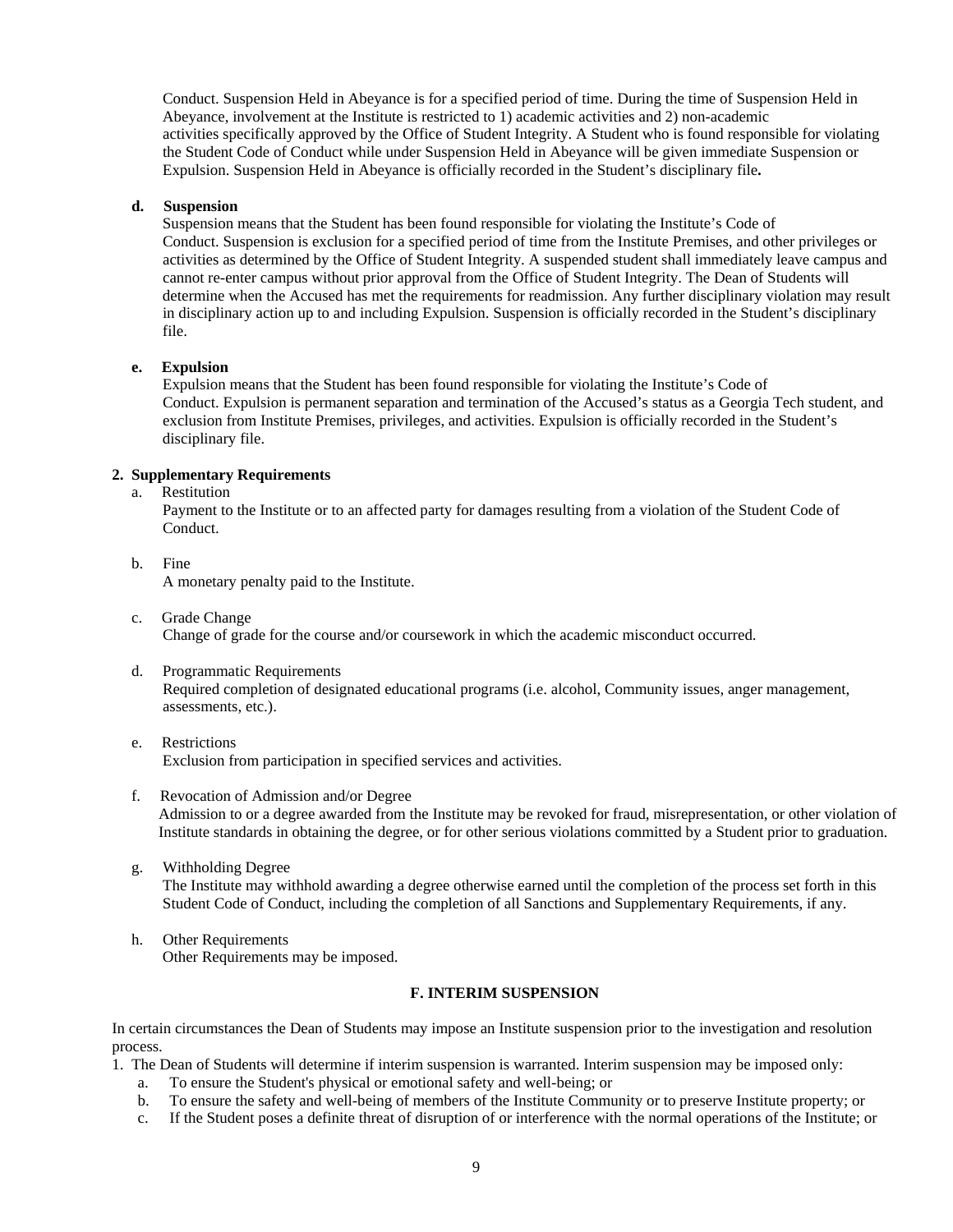Conduct. Suspension Held in Abeyance is for a specified period of time. During the time of Suspension Held in Abeyance, involvement at the Institute is restricted to 1) academic activities and 2) non-academic activities specifically approved by the Office of Student Integrity. A Student who is found responsible for violating the Student Code of Conduct while under Suspension Held in Abeyance will be given immediate Suspension or Expulsion. Suspension Held in Abeyance is officially recorded in the Student's disciplinary file**.** 

#### **d. Suspension**

 Suspension means that the Student has been found responsible for violating the Institute's Code of Conduct. Suspension is exclusion for a specified period of time from the Institute Premises, and other privileges or activities as determined by the Office of Student Integrity. A suspended student shall immediately leave campus and cannot re-enter campus without prior approval from the Office of Student Integrity. The Dean of Students will determine when the Accused has met the requirements for readmission. Any further disciplinary violation may result in disciplinary action up to and including Expulsion. Suspension is officially recorded in the Student's disciplinary file.

## **e. Expulsion**

 Expulsion means that the Student has been found responsible for violating the Institute's Code of Conduct. Expulsion is permanent separation and termination of the Accused's status as a Georgia Tech student, and exclusion from Institute Premises, privileges, and activities. Expulsion is officially recorded in the Student's disciplinary file.

# **2. Supplementary Requirements**

a. Restitution

 Payment to the Institute or to an affected party for damages resulting from a violation of the Student Code of Conduct.

b. Fine

A monetary penalty paid to the Institute.

- c. Grade Change Change of grade for the course and/or coursework in which the academic misconduct occurred.
- d. Programmatic Requirements Required completion of designated educational programs (i.e. alcohol, Community issues, anger management, assessments, etc.).
- e. Restrictions Exclusion from participation in specified services and activities.
- f. Revocation of Admission and/or Degree Admission to or a degree awarded from the Institute may be revoked for fraud, misrepresentation, or other violation of Institute standards in obtaining the degree, or for other serious violations committed by a Student prior to graduation.
- g. Withholding Degree The Institute may withhold awarding a degree otherwise earned until the completion of the process set forth in this Student Code of Conduct, including the completion of all Sanctions and Supplementary Requirements, if any.
- h. Other Requirements Other Requirements may be imposed.

# **F. INTERIM SUSPENSION**

In certain circumstances the Dean of Students may impose an Institute suspension prior to the investigation and resolution process.

- 1. The Dean of Students will determine if interim suspension is warranted. Interim suspension may be imposed only:
	- a. To ensure the Student's physical or emotional safety and well-being; or
	- b. To ensure the safety and well-being of members of the Institute Community or to preserve Institute property; or
	- c. If the Student poses a definite threat of disruption of or interference with the normal operations of the Institute; or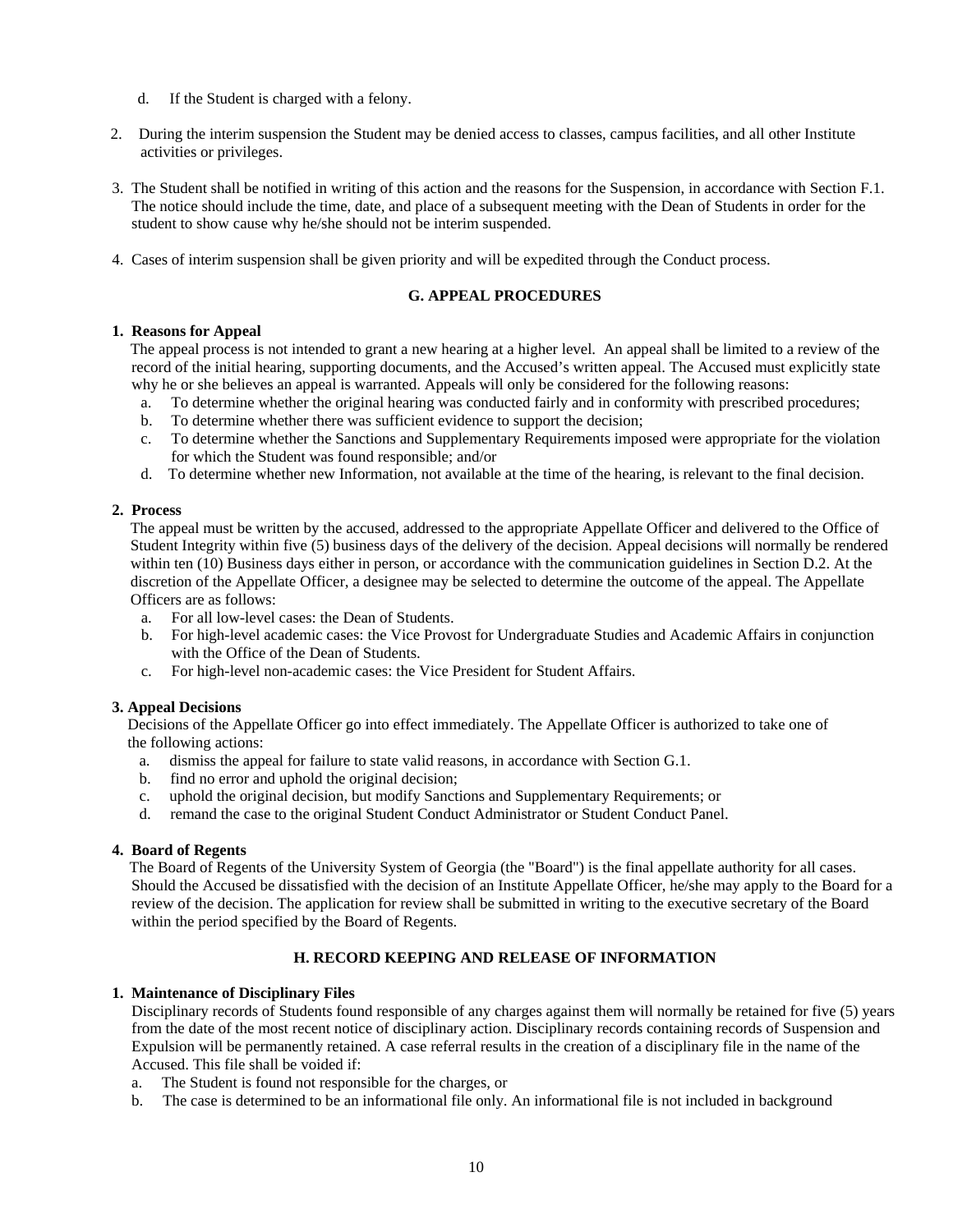- d. If the Student is charged with a felony.
- 2. During the interim suspension the Student may be denied access to classes, campus facilities, and all other Institute activities or privileges.
- 3. The Student shall be notified in writing of this action and the reasons for the Suspension, in accordance with Section F.1. The notice should include the time, date, and place of a subsequent meeting with the Dean of Students in order for the student to show cause why he/she should not be interim suspended.
- 4. Cases of interim suspension shall be given priority and will be expedited through the Conduct process.

# **G. APPEAL PROCEDURES**

#### **1. Reasons for Appeal**

 The appeal process is not intended to grant a new hearing at a higher level. An appeal shall be limited to a review of the record of the initial hearing, supporting documents, and the Accused's written appeal. The Accused must explicitly state why he or she believes an appeal is warranted. Appeals will only be considered for the following reasons:

- a. To determine whether the original hearing was conducted fairly and in conformity with prescribed procedures;
- b. To determine whether there was sufficient evidence to support the decision;
- c. To determine whether the Sanctions and Supplementary Requirements imposed were appropriate for the violation for which the Student was found responsible; and/or
- d. To determine whether new Information, not available at the time of the hearing, is relevant to the final decision.

## **2. Process**

 The appeal must be written by the accused, addressed to the appropriate Appellate Officer and delivered to the Office of Student Integrity within five (5) business days of the delivery of the decision. Appeal decisions will normally be rendered within ten (10) Business days either in person, or accordance with the communication guidelines in Section D.2. At the discretion of the Appellate Officer, a designee may be selected to determine the outcome of the appeal. The Appellate Officers are as follows:

- a. For all low-level cases: the Dean of Students.
- b. For high-level academic cases: the Vice Provost for Undergraduate Studies and Academic Affairs in conjunction with the Office of the Dean of Students.
- c. For high-level non-academic cases: the Vice President for Student Affairs.

#### **3. Appeal Decisions**

 Decisions of the Appellate Officer go into effect immediately. The Appellate Officer is authorized to take one of the following actions:

- a. dismiss the appeal for failure to state valid reasons, in accordance with Section G.1.
- b. find no error and uphold the original decision;
- c. uphold the original decision, but modify Sanctions and Supplementary Requirements; or
- d. remand the case to the original Student Conduct Administrator or Student Conduct Panel.

#### **4. Board of Regents**

 The Board of Regents of the University System of Georgia (the "Board") is the final appellate authority for all cases. Should the Accused be dissatisfied with the decision of an Institute Appellate Officer, he/she may apply to the Board for a review of the decision. The application for review shall be submitted in writing to the executive secretary of the Board within the period specified by the Board of Regents.

# **H. RECORD KEEPING AND RELEASE OF INFORMATION**

#### **1. Maintenance of Disciplinary Files**

Disciplinary records of Students found responsible of any charges against them will normally be retained for five (5) years from the date of the most recent notice of disciplinary action. Disciplinary records containing records of Suspension and Expulsion will be permanently retained. A case referral results in the creation of a disciplinary file in the name of the Accused. This file shall be voided if:

- a. The Student is found not responsible for the charges, or
- b. The case is determined to be an informational file only. An informational file is not included in background